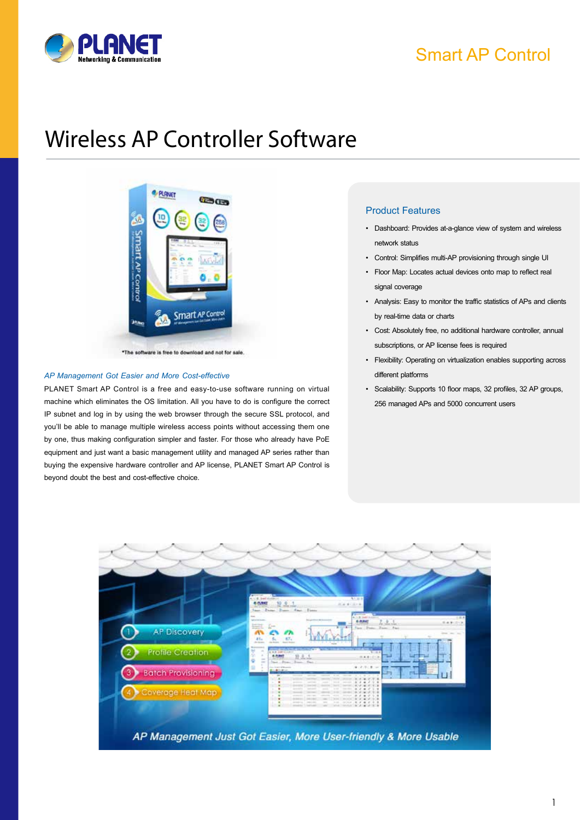

# Smart AP Control

# Wireless AP Controller Software



\*The software is free to download and not for sale

#### *AP Management Got Easier and More Cost-effective*

PLANET Smart AP Control is a free and easy-to-use software running on virtual machine which eliminates the OS limitation. All you have to do is configure the correct IP subnet and log in by using the web browser through the secure SSL protocol, and you'll be able to manage multiple wireless access points without accessing them one by one, thus making configuration simpler and faster. For those who already have PoE equipment and just want a basic management utility and managed AP series rather than buying the expensive hardware controller and AP license, PLANET Smart AP Control is beyond doubt the best and cost-effective choice.

#### Product Features

- • Dashboard: Provides at-a-glance view of system and wireless network status
- • Control: Simplifies multi-AP provisioning through single UI
- • Floor Map: Locates actual devices onto map to reflect real signal coverage
- • Analysis: Easy to monitor the traffic statistics of APs and clients by real-time data or charts
- • Cost: Absolutely free, no additional hardware controller, annual subscriptions, or AP license fees is required
- • Flexibility: Operating on virtualization enables supporting across different platforms
- • Scalability: Supports 10 floor maps, 32 profiles, 32 AP groups, 256 managed APs and 5000 concurrent users

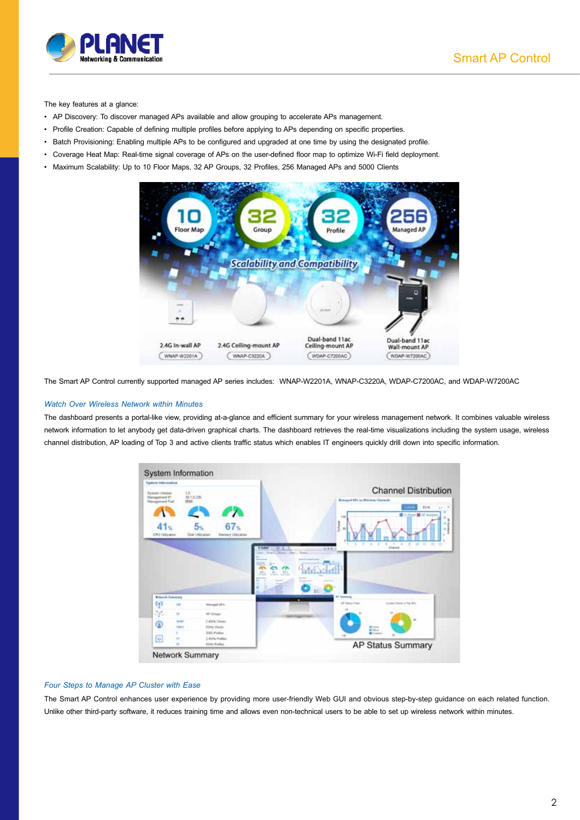

The key features at a glance:

- • AP Discovery: To discover managed APs available and allow grouping to accelerate APs management.
- • Profile Creation: Capable of defining multiple profiles before applying to APs depending on specific properties.
- • Batch Provisioning: Enabling multiple APs to be configured and upgraded at one time by using the designated profile.
- • Coverage Heat Map: Real-time signal coverage of APs on the user-defined floor map to optimize Wi-Fi field deployment.
- • Maximum Scalability: Up to 10 Floor Maps, 32 AP Groups, 32 Profiles, 256 Managed APs and 5000 Clients



The Smart AP Control currently supported managed AP series includes: WNAP-W2201A, WNAP-C3220A, WDAP-C7200AC, and WDAP-W7200AC

#### *Watch Over Wireless Network within Minutes*

The dashboard presents a portal-like view, providing at-a-glance and efficient summary for your wireless management network. It combines valuable wireless network information to let anybody get data-driven graphical charts. The dashboard retrieves the real-time visualizations including the system usage, wireless channel distribution, AP loading of Top 3 and active clients traffic status which enables IT engineers quickly drill down into specific information.



#### *Four Steps to Manage AP Cluster with Ease*

The Smart AP Control enhances user experience by providing more user-friendly Web GUI and obvious step-by-step guidance on each related function. Unlike other third-party software, it reduces training time and allows even non-technical users to be able to set up wireless network within minutes.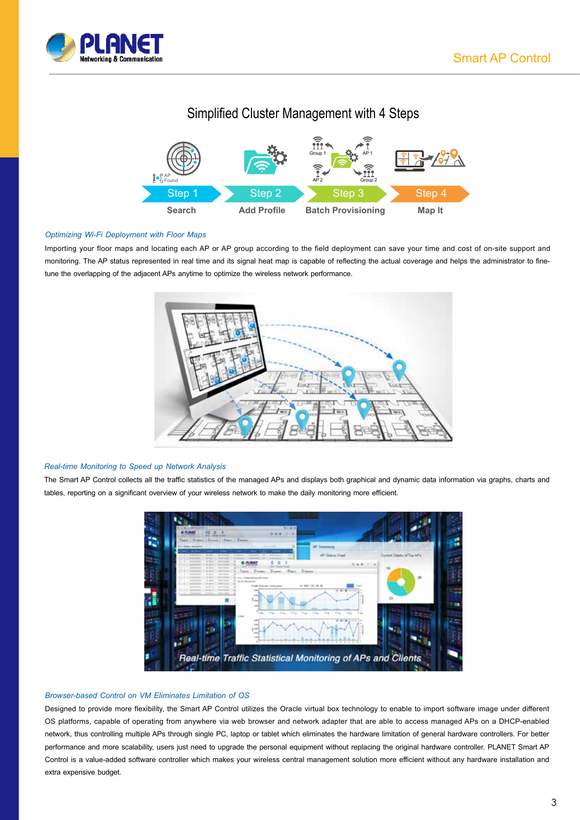

### Simplified Cluster Management with 4 Steps



#### *Optimizing Wi-Fi Deployment with Floor Maps*

Importing your floor maps and locating each AP or AP group according to the field deployment can save your time and cost of on-site support and monitoring. The AP status represented in real time and its signal heat map is capable of reflecting the actual coverage and helps the administrator to finetune the overlapping of the adjacent APs anytime to optimize the wireless network performance.



#### *Real-time Monitoring to Speed up Network Analysis*

The Smart AP Control collects all the traffic statistics of the managed APs and displays both graphical and dynamic data information via graphs, charts and tables, reporting on a significant overview of your wireless network to make the daily monitoring more efficient.



#### *Browser-based Control on VM Eliminates Limitation of OS*

Designed to provide more flexibility, the Smart AP Control utilizes the Oracle virtual box technology to enable to import software image under different OS platforms, capable of operating from anywhere via web browser and network adapter that are able to access managed APs on a DHCP-enabled network, thus controlling multiple APs through single PC, laptop or tablet which eliminates the hardware limitation of general hardware controllers. For better performance and more scalability, users just need to upgrade the personal equipment without replacing the original hardware controller. PLANET Smart AP Control is a value-added software controller which makes your wireless central management solution more efficient without any hardware installation and extra expensive budget.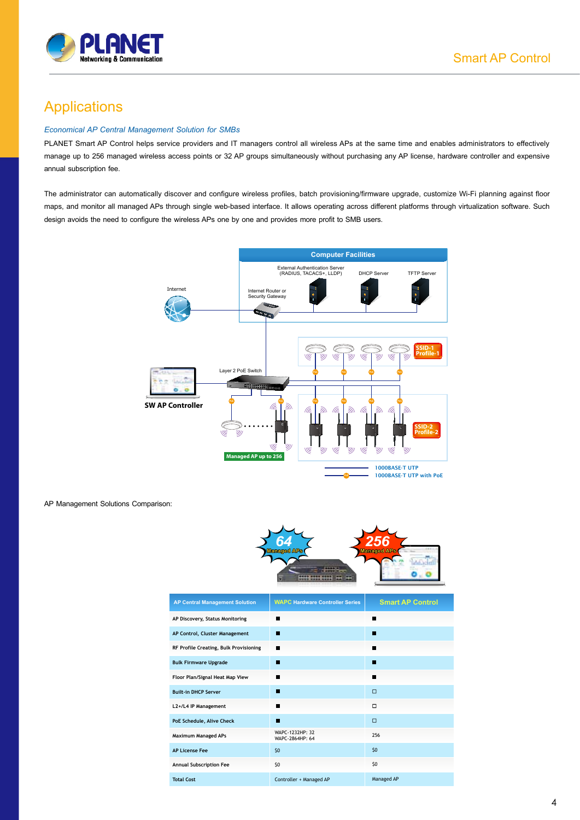

## Applications

#### *Economical AP Central Management Solution for SMBs*

PLANET Smart AP Control helps service providers and IT managers control all wireless APs at the same time and enables administrators to effectively manage up to 256 managed wireless access points or 32 AP groups simultaneously without purchasing any AP license, hardware controller and expensive annual subscription fee.

The administrator can automatically discover and configure wireless profiles, batch provisioning/firmware upgrade, customize Wi-Fi planning against floor maps, and monitor all managed APs through single web-based interface. It allows operating across different platforms through virtualization software. Such design avoids the need to configure the wireless APs one by one and provides more profit to SMB users.



AP Management Solutions Comparison:



| <b>AP Central Management Solution</b>  | <b>WAPC Hardware Controller Series</b> | <b>Smart AP Control</b> |
|----------------------------------------|----------------------------------------|-------------------------|
| AP Discovery, Status Monitoring        |                                        |                         |
| AP Control, Cluster Management         | ш                                      | a l                     |
| RF Profile Creating, Bulk Provisioning | ٠                                      |                         |
| <b>Bulk Firmware Upgrade</b>           | ш                                      |                         |
| Floor Plan/Signal Heat Map View        | ш                                      |                         |
| <b>Built-in DHCP Server</b>            | w                                      | $\Box$                  |
| L2+/L4 IP Management                   | ш                                      | $\Box$                  |
| PoE Schedule, Alive Check              | п                                      | $\Box$                  |
| <b>Maximum Managed APs</b>             | WAPC-1232HP: 32<br>WAPC-2864HP: 64     | 256                     |
| <b>AP License Fee</b>                  | 50                                     | \$0                     |
| <b>Annual Subscription Fee</b>         | \$0                                    | \$0                     |
| <b>Total Cost</b>                      | Controller + Managed AP                | Managed AP              |